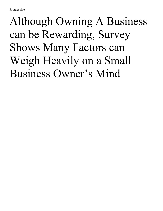## Although Owning A Business can be Rewarding, Survey Shows Many Factors can Weigh Heavily on a Small Business Owner's Mind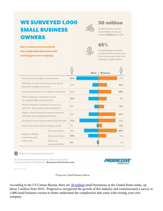## **WE SURVEYED 1,000 SMALL BUSINESS OWNERS**

Here's what we learned about the complexities that come with owning your own company:



## **30 million**

Small businesses in the United States today, up about 2 million from 2010

named cash flow as the top

financial concern when first starting a small business

65% Of participants surveyed

| Feel secure financially in their business                                             |                                | 84% | 70% |
|---------------------------------------------------------------------------------------|--------------------------------|-----|-----|
| Wish they would have learned more about<br>financial management sooner                |                                | 23% | 32% |
| Seek business advice from friends and family                                          |                                | 35% | 48% |
| When looking for employees, focus<br>on required skills and experience                |                                | 38% | 31% |
| When looking for employees, focus on a<br>"great fit" and "passion and enthusiasm"    |                                | 16% | 21% |
| Likely to share business insurance decisions<br>with their spouses/significant others |                                | 37% | 64% |
| Decided to insure their business from the start                                       |                                | 72% | 64% |
| Insured after they started making a profit                                            |                                | 7%  | 13% |
| Business vehicles<br>covered by auto<br>policy type                                   | Personal policies              | 55% | 69% |
|                                                                                       | <b>Business policies</b>       | 39% | 29% |
|                                                                                       | Riders on<br>personal policies | 6%  | 2%  |
|                                                                                       |                                |     |     |

18B40196 (06/18)

*Progressive Small Business Survey*

According to the US Census Bureau, there are 30 [million](https://www.sba.gov/sites/default/files/advocacy/2018-Small-Business-Profiles-US.pdf) small businesses in the United States today, up about 2 million from 2010. Progressive recognized the growth of this industry and commissioned a survey to 1,000 small business owners to better understand the complexities that come with owning your own company.